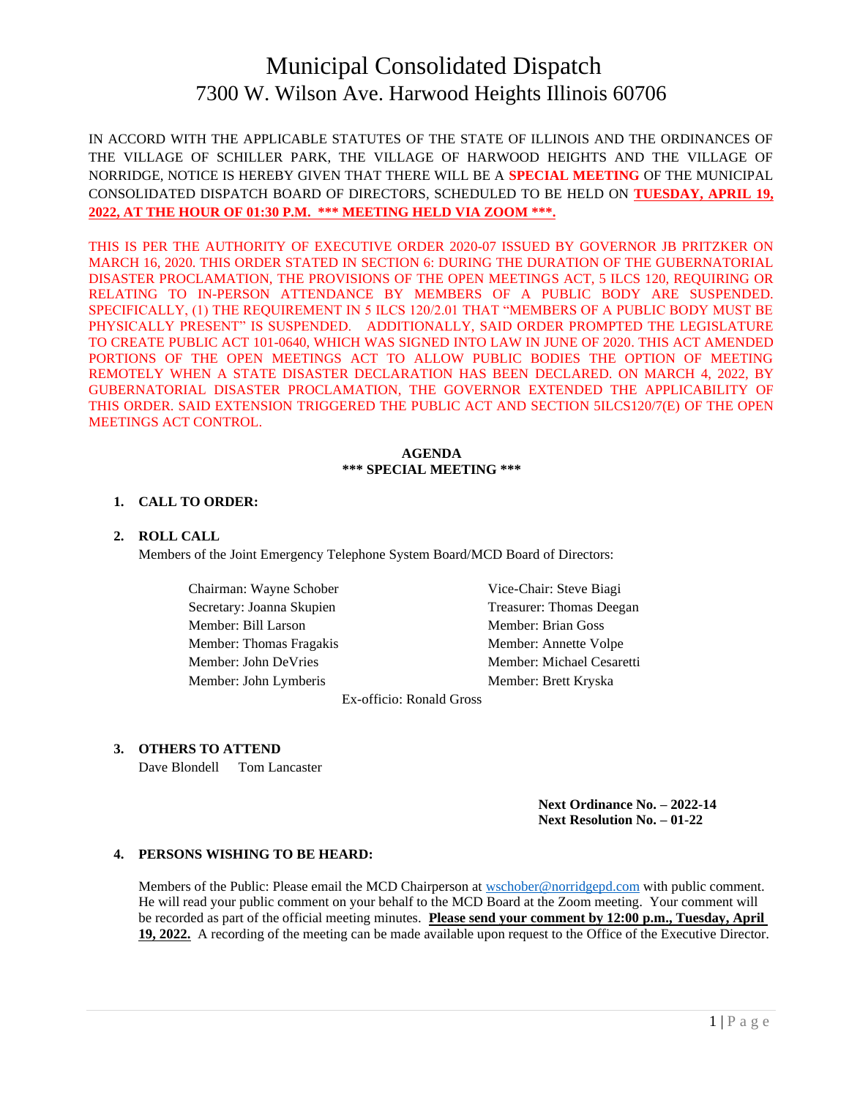# Municipal Consolidated Dispatch 7300 W. Wilson Ave. Harwood Heights Illinois 60706

IN ACCORD WITH THE APPLICABLE STATUTES OF THE STATE OF ILLINOIS AND THE ORDINANCES OF THE VILLAGE OF SCHILLER PARK, THE VILLAGE OF HARWOOD HEIGHTS AND THE VILLAGE OF NORRIDGE, NOTICE IS HEREBY GIVEN THAT THERE WILL BE A **SPECIAL MEETING** OF THE MUNICIPAL CONSOLIDATED DISPATCH BOARD OF DIRECTORS, SCHEDULED TO BE HELD ON **TUESDAY, APRIL 19, 2022, AT THE HOUR OF 01:30 P.M. \*\*\* MEETING HELD VIA ZOOM \*\*\*.**

THIS IS PER THE AUTHORITY OF EXECUTIVE ORDER 2020-07 ISSUED BY GOVERNOR JB PRITZKER ON MARCH 16, 2020. THIS ORDER STATED IN SECTION 6: DURING THE DURATION OF THE GUBERNATORIAL DISASTER PROCLAMATION, THE PROVISIONS OF THE OPEN MEETINGS ACT, 5 ILCS 120, REQUIRING OR RELATING TO IN-PERSON ATTENDANCE BY MEMBERS OF A PUBLIC BODY ARE SUSPENDED. SPECIFICALLY, (1) THE REQUIREMENT IN 5 ILCS 120/2.01 THAT "MEMBERS OF A PUBLIC BODY MUST BE PHYSICALLY PRESENT" IS SUSPENDED. ADDITIONALLY, SAID ORDER PROMPTED THE LEGISLATURE TO CREATE PUBLIC ACT 101-0640, WHICH WAS SIGNED INTO LAW IN JUNE OF 2020. THIS ACT AMENDED PORTIONS OF THE OPEN MEETINGS ACT TO ALLOW PUBLIC BODIES THE OPTION OF MEETING REMOTELY WHEN A STATE DISASTER DECLARATION HAS BEEN DECLARED. ON MARCH 4, 2022, BY GUBERNATORIAL DISASTER PROCLAMATION, THE GOVERNOR EXTENDED THE APPLICABILITY OF THIS ORDER. SAID EXTENSION TRIGGERED THE PUBLIC ACT AND SECTION 5ILCS120/7(E) OF THE OPEN MEETINGS ACT CONTROL.

#### **AGENDA \*\*\* SPECIAL MEETING \*\*\***

#### **1. CALL TO ORDER:**

#### **2. ROLL CALL**

Members of the Joint Emergency Telephone System Board/MCD Board of Directors:

Chairman: Wayne Schober Vice-Chair: Steve Biagi Member: Bill Larson Member: Brian Goss Member: Thomas Fragakis Member: Annette Volpe Member: John Lymberis Member: Brett Kryska

Secretary: Joanna Skupien Treasurer: Thomas Deegan Member: John DeVries Member: Michael Cesaretti

Ex-officio: Ronald Gross

# **3. OTHERS TO ATTEND**

Dave Blondell Tom Lancaster

**Next Ordinance No. – 2022-14 Next Resolution No. – 01-22**

#### **4. PERSONS WISHING TO BE HEARD:**

Members of the Public: Please email the MCD Chairperson at [wschober@norridgepd.com](mailto:wschober@norridgepd.com) with public comment. He will read your public comment on your behalf to the MCD Board at the Zoom meeting. Your comment will be recorded as part of the official meeting minutes. **Please send your comment by 12:00 p.m., Tuesday, April 19, 2022.** A recording of the meeting can be made available upon request to the Office of the Executive Director.